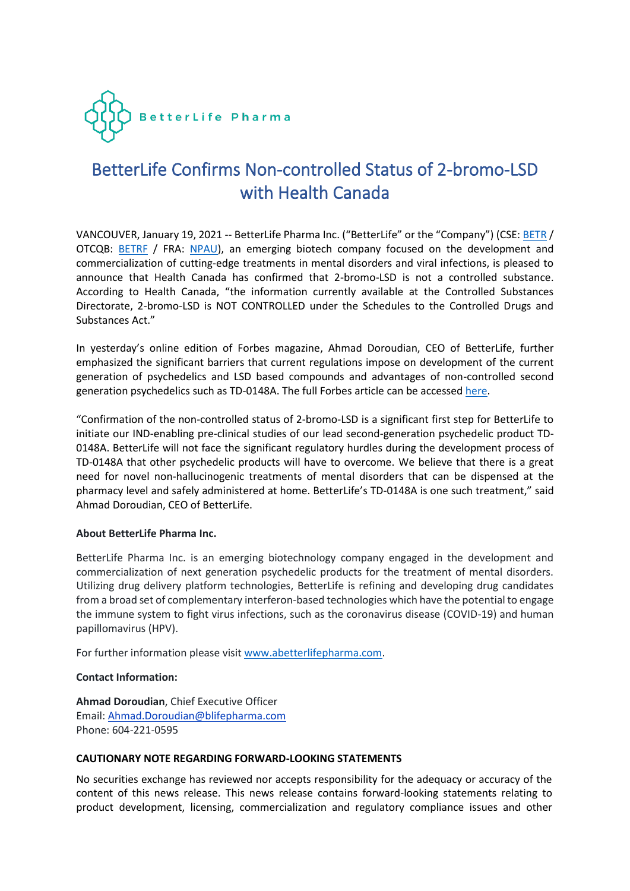

## BetterLife Confirms Non-controlled Status of 2-bromo-LSD with Health Canada

VANCOUVER, January 19, 2021 -- BetterLife Pharma Inc. ("BetterLife" or the "Company") (CSE: [BETR](https://www.thecse.com/en/listings/life-sciences/betterlife-pharma-inc) / OTCQB: [BETRF](https://www.otcmarkets.com/stock/BETRF/overview) / FRA: [NPAU\)](https://www.tradegate.de/orderbuch.php?lang=en&isin=CA08772P2026), an emerging biotech company focused on the development and commercialization of cutting-edge treatments in mental disorders and viral infections, is pleased to announce that Health Canada has confirmed that 2-bromo-LSD is not a controlled substance. According to Health Canada, "the information currently available at the Controlled Substances Directorate, 2-bromo-LSD is NOT CONTROLLED under the Schedules to the Controlled Drugs and Substances Act."

In yesterday's online edition of Forbes magazine, Ahmad Doroudian, CEO of BetterLife, further emphasized the significant barriers that current regulations impose on development of the current generation of psychedelics and LSD based compounds and advantages of non-controlled second generation psychedelics such as TD-0148A. The full Forbes article can be accessed [here.](https://www.forbes.com/sites/amandasiebert/2021/01/18/betterlife-pharma-is-developing-second-generation-psychedelics-drugs-that-leave-out-the-trip/?sh=400c3310648f)

"Confirmation of the non-controlled status of 2-bromo-LSD is a significant first step for BetterLife to initiate our IND-enabling pre-clinical studies of our lead second-generation psychedelic product TD-0148A. BetterLife will not face the significant regulatory hurdles during the development process of TD-0148A that other psychedelic products will have to overcome. We believe that there is a great need for novel non-hallucinogenic treatments of mental disorders that can be dispensed at the pharmacy level and safely administered at home. BetterLife's TD-0148A is one such treatment," said Ahmad Doroudian, CEO of BetterLife.

## **About BetterLife Pharma Inc.**

BetterLife Pharma Inc. is an emerging biotechnology company engaged in the development and commercialization of next generation psychedelic products for the treatment of mental disorders. Utilizing drug delivery platform technologies, BetterLife is refining and developing drug candidates from a broad set of complementary interferon-based technologies which have the potential to engage the immune system to fight virus infections, such as the coronavirus disease (COVID-19) and human papillomavirus (HPV).

For further information please visit [www.abetterlifepharma.com.](file:///C:/Users/andre/AppData/Local/Temp/www.abetterlifepharma.com)

## **Contact Information:**

**Ahmad Doroudian**, Chief Executive Officer Email: [Ahmad.Doroudian@blifepharma.com](https://www.globenewswire.com/Tracker?data=C2h5AYESjPFb0lJvptMMD4taAKfKURtJh2xCP0H2auvasr6iRB11Wa35DWikAFDaS-9hgXdSmxqo1cLA2Km84Y77EiSNa3vKmUtztBB4BAqvjV6ZQT_kUxuqZkIC5ONT) Phone: 604-221-0595

## **CAUTIONARY NOTE REGARDING FORWARD-LOOKING STATEMENTS**

No securities exchange has reviewed nor accepts responsibility for the adequacy or accuracy of the content of this news release. This news release contains forward-looking statements relating to product development, licensing, commercialization and regulatory compliance issues and other